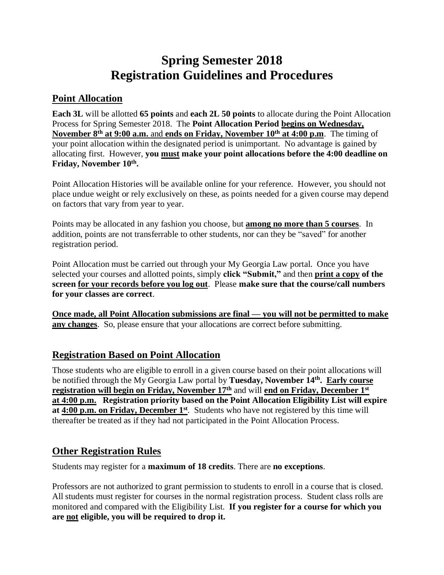# **Spring Semester 2018 Registration Guidelines and Procedures**

## **Point Allocation**

**Each 3L** will be allotted **65 points** and **each 2L 50 points** to allocate during the Point Allocation Process for Spring Semester 2018. The **Point Allocation Period begins on Wednesday, November 8 th at 9:00 a.m.** and **ends on Friday, November 10th at 4:00 p.m**. The timing of your point allocation within the designated period is unimportant. No advantage is gained by allocating first. However, **you must make your point allocations before the 4:00 deadline on Friday, November 10th .**

Point Allocation Histories will be available online for your reference. However, you should not place undue weight or rely exclusively on these, as points needed for a given course may depend on factors that vary from year to year.

Points may be allocated in any fashion you choose, but **among no more than 5 courses**. In addition, points are not transferrable to other students, nor can they be "saved" for another registration period.

Point Allocation must be carried out through your My Georgia Law portal. Once you have selected your courses and allotted points, simply **click "Submit,"** and then **print a copy of the screen for your records before you log out**. Please **make sure that the course/call numbers for your classes are correct**.

**Once made, all Point Allocation submissions are final — you will not be permitted to make any changes**. So, please ensure that your allocations are correct before submitting.

## **Registration Based on Point Allocation**

Those students who are eligible to enroll in a given course based on their point allocations will be notified through the My Georgia Law portal by Tuesday, November 14<sup>th</sup>. Early course **registration will begin on Friday, November 17th** and will **end on Friday, December 1st at 4:00 p.m. Registration priority based on the Point Allocation Eligibility List will expire**  at **4:00 p.m. on Friday, December 1**<sup>st</sup>. Students who have not registered by this time will thereafter be treated as if they had not participated in the Point Allocation Process.

### **Other Registration Rules**

Students may register for a **maximum of 18 credits**. There are **no exceptions**.

Professors are not authorized to grant permission to students to enroll in a course that is closed. All students must register for courses in the normal registration process. Student class rolls are monitored and compared with the Eligibility List. **If you register for a course for which you are not eligible, you will be required to drop it.**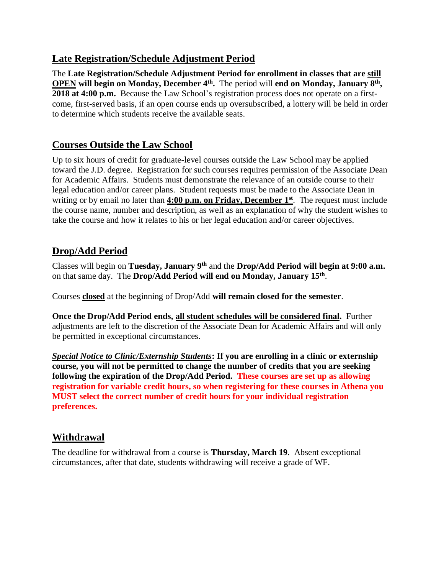### **Late Registration/Schedule Adjustment Period**

The **Late Registration/Schedule Adjustment Period for enrollment in classes that are still OPEN will begin on Monday, December 4th .** The period will **end on Monday, January 8 th , 2018 at 4:00 p.m.** Because the Law School's registration process does not operate on a firstcome, first-served basis, if an open course ends up oversubscribed, a lottery will be held in order to determine which students receive the available seats.

## **Courses Outside the Law School**

Up to six hours of credit for graduate-level courses outside the Law School may be applied toward the J.D. degree. Registration for such courses requires permission of the Associate Dean for Academic Affairs. Students must demonstrate the relevance of an outside course to their legal education and/or career plans. Student requests must be made to the Associate Dean in writing or by email no later than **4:00 p.m. on Friday, December 1 st** . The request must include the course name, number and description, as well as an explanation of why the student wishes to take the course and how it relates to his or her legal education and/or career objectives.

## **Drop/Add Period**

Classes will begin on **Tuesday, January 9 th** and the **Drop/Add Period will begin at 9:00 a.m.** on that same day. The Drop/Add Period will end on Monday, January 15<sup>th</sup>.

Courses **closed** at the beginning of Drop/Add **will remain closed for the semester**.

**Once the Drop/Add Period ends, all student schedules will be considered final.** Further adjustments are left to the discretion of the Associate Dean for Academic Affairs and will only be permitted in exceptional circumstances.

*Special Notice to Clinic/Externship Students***: If you are enrolling in a clinic or externship course, you will not be permitted to change the number of credits that you are seeking following the expiration of the Drop/Add Period. These courses are set up as allowing registration for variable credit hours, so when registering for these courses in Athena you MUST select the correct number of credit hours for your individual registration preferences.**

## **Withdrawal**

The deadline for withdrawal from a course is **Thursday, March 19**. Absent exceptional circumstances, after that date, students withdrawing will receive a grade of WF.